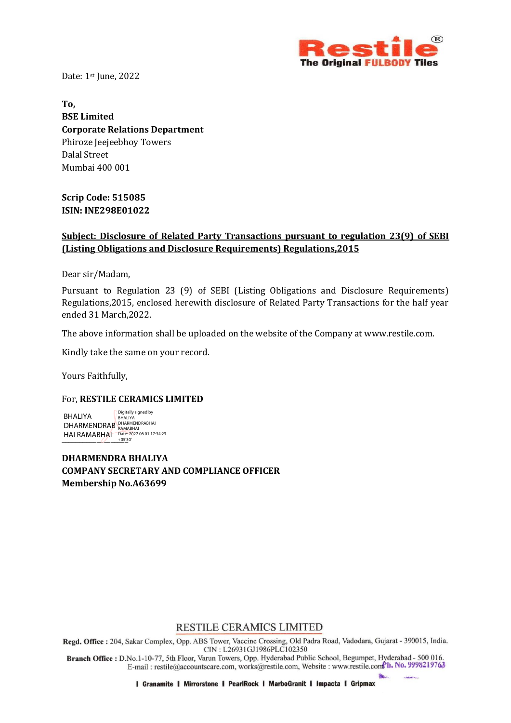

Date: 1st June, 2022

**To, BSE Limited Corporate Relations Department** Phiroze Jeejeebhoy Towers Dalal Street Mumbai 400 001

**Scrip Code: 515085 ISIN: INE298E01022**

## **Subject: Disclosure of Related Party Transactions pursuant to regulation 23(9) of SEBI (Listing Obligations and Disclosure Requirements) Regulations,2015**

Dear sir/Madam,

Pursuant to Regulation 23 (9) of SEBI (Listing Obligations and Disclosure Requirements) Regulations,2015, enclosed herewith disclosure of Related Party Transactions for the half year ended 31 March,2022.

The above information shall be uploaded on the website of the Company at www.restile.com.

Kindly take the same on your record.

Yours Faithfully,

## For, **RESTILE CERAMICS LIMITED**

HAI RAMABHAI Date: 2022.06.01 17:34:23 BHALIYA DHARMENDRAB DHARMENDRABHAI Digitally signed by BHALIYA

**DHARMENDRA BHALIYA COMPANY SECRETARY AND COMPLIANCE OFFICER Membership No.A63699**

RESTILE CERAMICS LIMITED

Regd. Office: 204, Sakar Complex, Opp. ABS Tower, Vaccine Crossing, Old Padra Road, Vadodara, Gujarat - 390015, India. CIN: L26931GJ1986PLC102350

Branch Office: D.No.1-10-77, 5th Floor, Varun Towers, Opp. Hyderabad Public School, Begumpet, Hyderabad - 500 016. E-mail: restile@accountscare.com, works@restile.com, Website: www.restile.com<sup>P</sup>h. No. 9998219763

I Granamite I Mirrorstone I PearlRock I MarboGranit I Impacta I Gripmax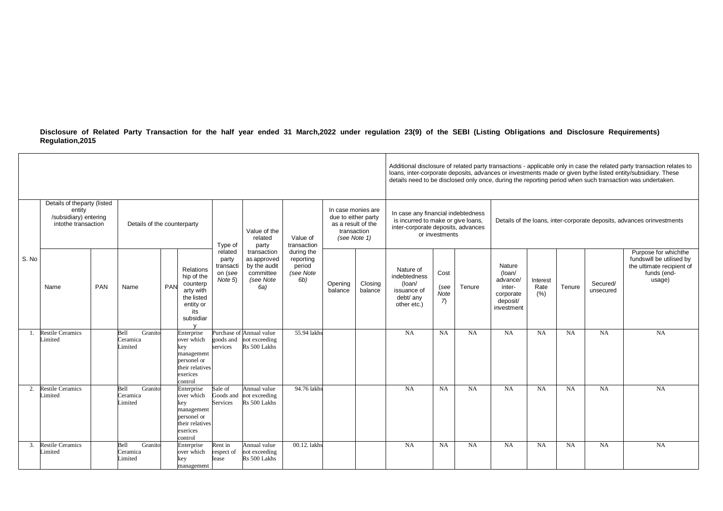**Disclosure of Related Party Transaction for the half year ended 31 March,2022 under regulation 23(9) of the SEBI (Listing Obligations and Disclosure Requirements) Regulation,2015**

|                |                                                                                                                                 |     |                                       |            |                                                                                                        |                                                     |                                                                             |                                                                                                |                    | Additional disclosure of related party transactions - applicable only in case the related party transaction relates to<br>loans, inter-corporate deposits, advances or investments made or given bythe listed entity/subsidiary. These<br>details need to be disclosed only once, during the reporting period when such transaction was undertaken. |                                                                                |                                        |                                                                        |                                                                               |                          |           |                       |                                                                                                        |
|----------------|---------------------------------------------------------------------------------------------------------------------------------|-----|---------------------------------------|------------|--------------------------------------------------------------------------------------------------------|-----------------------------------------------------|-----------------------------------------------------------------------------|------------------------------------------------------------------------------------------------|--------------------|-----------------------------------------------------------------------------------------------------------------------------------------------------------------------------------------------------------------------------------------------------------------------------------------------------------------------------------------------------|--------------------------------------------------------------------------------|----------------------------------------|------------------------------------------------------------------------|-------------------------------------------------------------------------------|--------------------------|-----------|-----------------------|--------------------------------------------------------------------------------------------------------|
| S. No          | Details of theparty (listed<br>entity<br>/subsidiary) entering<br>intothe transaction<br>Details of the counterparty<br>Type of |     |                                       |            |                                                                                                        | Value of the<br>related<br>party                    | Value of<br>transaction                                                     | In case monies are<br>due to either party<br>as a result of the<br>transaction<br>(see Note 1) |                    | In case any financial indebtedness<br>is incurred to make or give loans,<br>inter-corporate deposits, advances<br>or investments                                                                                                                                                                                                                    |                                                                                |                                        | Details of the loans, inter-corporate deposits, advances orinvestments |                                                                               |                          |           |                       |                                                                                                        |
|                | Name                                                                                                                            | PAN | Name                                  | <b>PAN</b> | Relations<br>hip of the<br>counterp<br>arty with<br>the listed<br>entity or<br>its<br>subsidiar        | related<br>party<br>transacti<br>on (see<br>Note 5) | transaction<br>as approved<br>by the audit<br>committee<br>(see Note<br>6a) | during the<br>reporting<br>period<br>(see Note<br>6b)                                          | Opening<br>balance | Closing<br>balance                                                                                                                                                                                                                                                                                                                                  | Nature of<br>indebtedness<br>(loan/<br>issuance of<br>debt/ any<br>other etc.) | Cost<br>(see<br>Note<br>$\overline{7}$ | Tenure                                                                 | Nature<br>(loan/<br>advance/<br>inter-<br>corporate<br>deposit/<br>investment | Interest<br>Rate<br>(% ) | Tenure    | Secured/<br>unsecured | Purpose for whichthe<br>fundswill be utilised by<br>the ultimate recipient of<br>funds (end-<br>usage) |
| $\overline{1}$ | <b>Restile Ceramics</b><br>Limited                                                                                              |     | Bell<br>Granito<br>Ceramica<br>imited |            | Enterprise<br>over which<br>key<br>management<br>personel or<br>their relatives<br>exerices<br>control | goods and<br>services                               | Purchase of Annual value<br>not exceeding<br>Rs 500 Lakhs                   | 55.94 lakhs                                                                                    |                    |                                                                                                                                                                                                                                                                                                                                                     | <b>NA</b>                                                                      | <b>NA</b>                              | <b>NA</b>                                                              | <b>NA</b>                                                                     | <b>NA</b>                | <b>NA</b> | <b>NA</b>             | <b>NA</b>                                                                                              |
| 2.             | <b>Restile Ceramics</b><br>Limited                                                                                              |     | Bell<br>Granito<br>Ceramica<br>imited |            | Enterprise<br>over which<br>key<br>management<br>personel or<br>their relatives<br>exerices<br>control | Sale of<br>Goods and<br>Services                    | Annual value<br>not exceeding<br>Rs 500 Lakhs                               | 94.76 lakhs                                                                                    |                    |                                                                                                                                                                                                                                                                                                                                                     | NA                                                                             | <b>NA</b>                              | $\overline{NA}$                                                        | NA                                                                            | <b>NA</b>                | <b>NA</b> | NA                    | $N_A$                                                                                                  |
| 3.             | <b>Restile Ceramics</b><br>Limited                                                                                              |     | Bell<br>Granito<br>Ceramica<br>imited |            | Enterprise<br>over which<br>key<br>management                                                          | Rent in<br>respect of<br>lease                      | Annual value<br>not exceeding<br>Rs 500 Lakhs                               | 00.12. lakhs                                                                                   |                    |                                                                                                                                                                                                                                                                                                                                                     | $N_A$                                                                          | <b>NA</b>                              | $\overline{NA}$                                                        | <b>NA</b>                                                                     | <b>NA</b>                | <b>NA</b> | NA                    | $N_A$                                                                                                  |